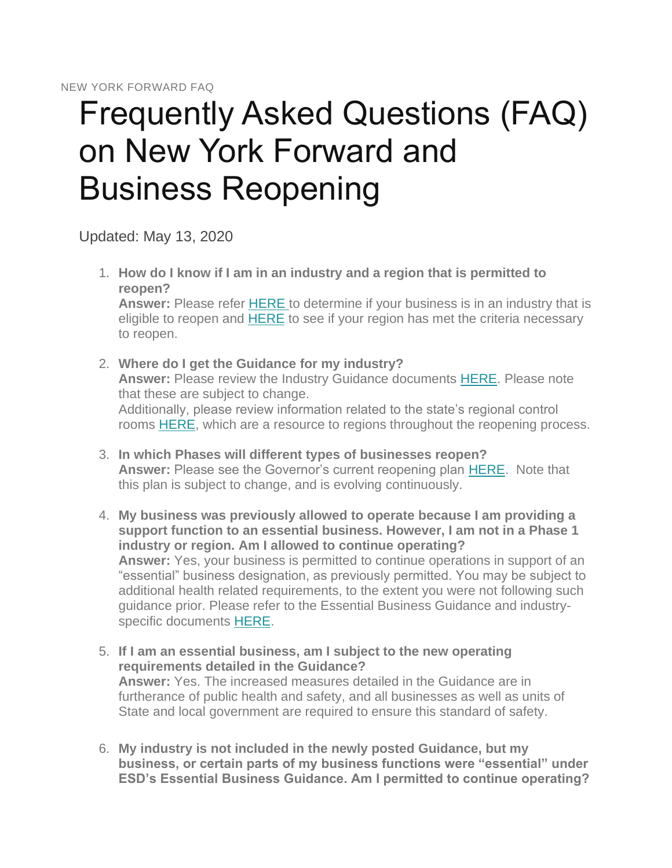## Frequently Asked Questions (FAQ) on New York Forward and Business Reopening

Updated: May 13, 2020

- 1. **How do I know if I am in an industry and a region that is permitted to reopen? Answer:** Please refer [HERE](https://forward.ny.gov/industries-reopening-phase) to determine if your business is in an industry that is eligible to reopen and **[HERE](http://forward.ny.gov/regional-monitoring-dashboard)** to see if your region has met the criteria necessary to reopen.
- 2. **Where do I get the Guidance for my industry? Answer:** Please review the Industry Guidance documents [HERE.](https://forward.ny.gov/industries-reopening-phase) Please note that these are subject to change. Additionally, please review information related to the state's regional control rooms [HERE,](https://forward.ny.gov/metrics-guide-reopening-new-york#regional-control-rooms) which are a resource to regions throughout the reopening process.
- 3. **In which Phases will different types of businesses reopen? Answer:** Please see the Governor's current reopening plan [HERE.](https://www.governor.ny.gov/programs/new-york-forward) Note that this plan is subject to change, and is evolving continuously.
- 4. **My business was previously allowed to operate because I am providing a support function to an essential business. However, I am not in a Phase 1 industry or region. Am I allowed to continue operating? Answer:** Yes, your business is permitted to continue operations in support of an "essential" business designation, as previously permitted. You may be subject to additional health related requirements, to the extent you were not following such guidance prior. Please refer to the Essential Business Guidance and industryspecific documents [HERE.](https://forward.ny.gov/industries-reopening-phase)
- 5. **If I am an essential business, am I subject to the new operating requirements detailed in the Guidance? Answer:** Yes. The increased measures detailed in the Guidance are in furtherance of public health and safety, and all businesses as well as units of State and local government are required to ensure this standard of safety.
- 6. **My industry is not included in the newly posted Guidance, but my business, or certain parts of my business functions were "essential" under ESD's Essential Business Guidance. Am I permitted to continue operating?**